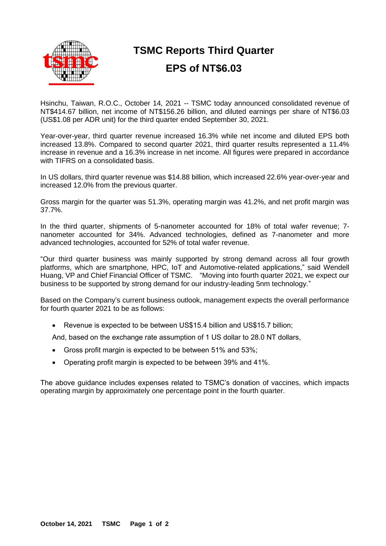

## **TSMC Reports Third Quarter EPS of NT\$6.03**

Hsinchu, Taiwan, R.O.C., October 14, 2021 -- TSMC today announced consolidated revenue of NT\$414.67 billion, net income of NT\$156.26 billion, and diluted earnings per share of NT\$6.03 (US\$1.08 per ADR unit) for the third quarter ended September 30, 2021.

Year-over-year, third quarter revenue increased 16.3% while net income and diluted EPS both increased 13.8%. Compared to second quarter 2021, third quarter results represented a 11.4% increase in revenue and a 16.3% increase in net income. All figures were prepared in accordance with TIFRS on a consolidated basis.

In US dollars, third quarter revenue was \$14.88 billion, which increased 22.6% year-over-year and increased 12.0% from the previous quarter.

Gross margin for the quarter was 51.3%, operating margin was 41.2%, and net profit margin was 37.7%.

In the third quarter, shipments of 5-nanometer accounted for 18% of total wafer revenue; 7 nanometer accounted for 34%. Advanced technologies, defined as 7-nanometer and more advanced technologies, accounted for 52% of total wafer revenue.

"Our third quarter business was mainly supported by strong demand across all four growth platforms, which are smartphone, HPC, IoT and Automotive-related applications," said Wendell Huang, VP and Chief Financial Officer of TSMC. "Moving into fourth quarter 2021, we expect our business to be supported by strong demand for our industry-leading 5nm technology."

Based on the Company's current business outlook, management expects the overall performance for fourth quarter 2021 to be as follows:

• Revenue is expected to be between US\$15.4 billion and US\$15.7 billion;

And, based on the exchange rate assumption of 1 US dollar to 28.0 NT dollars,

- Gross profit margin is expected to be between 51% and 53%;
- Operating profit margin is expected to be between 39% and 41%.

The above guidance includes expenses related to TSMC's donation of vaccines, which impacts operating margin by approximately one percentage point in the fourth quarter.